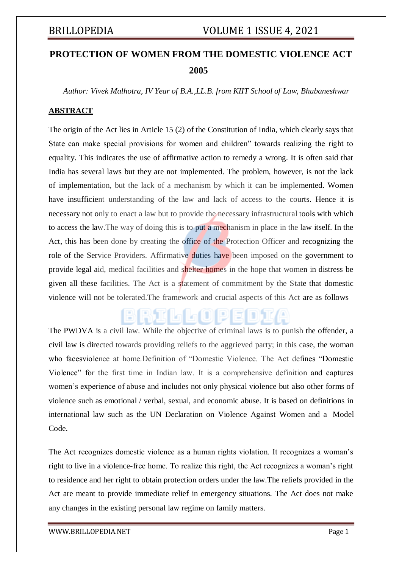# **PROTECTION OF WOMEN FROM THE DOMESTIC VIOLENCE ACT 2005**

*Author: Vivek Malhotra, IV Year of B.A.,LL.B. from KIIT School of Law, Bhubaneshwar*

### **ABSTRACT**

The origin of the Act lies in Article 15 (2) of the Constitution of India, which clearly says that State can make special provisions for women and children" towards realizing the right to equality. This indicates the use of affirmative action to remedy a wrong. It is often said that India has several laws but they are not implemented. The problem, however, is not the lack of"implementation, but the lack of a mechanism by which it can be implemented. Women have insufficient understanding of the law and lack of access to the courts. Hence it is necessary not only to enact a law but to provide the necessary infrastructural tools with which to access the law.The way of doing this is to put a mechanism in place in the law itself. In the Act, this has been done by creating the office of the Protection Officer and recognizing the role of the Service Providers. Affirmative duties have been imposed on the government to provide legal aid, medical facilities and shelter homes in the hope that women in distress be given all these facilities. The Act is a statement of commitment by the State that domestic violence will not be tolerated.The framework and crucial aspects of this Act are as follows

id alaoi 9

The PWDVA is a civil law. While the objective of criminal laws is to punish the offender, a civil law is directed towards providing reliefs to the aggrieved party; in this case, the woman who facesviolence at home.Definition of "Domestic Violence. The Act defines "Domestic Violence" for the first time in Indian law. It is a comprehensive definition and captures women's experience of abuse and includes not only physical violence but also other forms of violence such as emotional / verbal, sexual, and economic abuse. It is based on definitions in international law such as the UN Declaration on Violence Against Women and a Model Code.

The Act recognizes domestic violence as a human rights violation. It recognizes a woman's right to live in a violence-free home. To realize this right, the Act recognizes a woman's right to residence and her right to obtain protection orders under the law.The reliefs provided in the Act are meant to provide immediate relief in emergency situations. The Act does not make any changes in the existing personal law regime on family matters.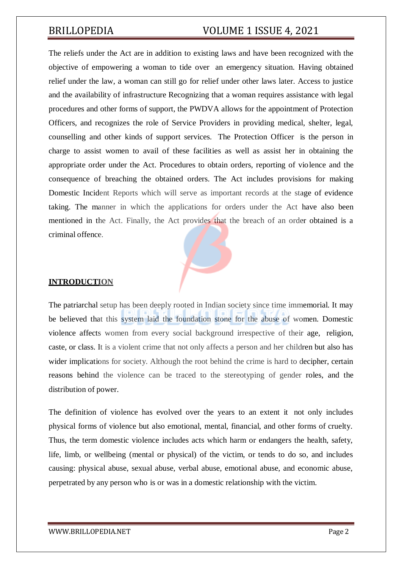The reliefs under the Act are in addition to existing laws and have been recognized with the objective of empowering a woman to tide over an emergency situation. Having obtained relief under the law, a woman can still go for relief under other laws later. Access to justice and the availability of infrastructure Recognizing that a woman requires assistance with legal procedures and other forms of support, the PWDVA allows for the appointment of Protection Officers, and recognizes the role of Service Providers in providing medical, shelter, legal, counselling and other kinds of support services. The Protection Officer is the person in charge to assist women to avail of these facilities as well as assist her in obtaining the appropriate order under the Act. Procedures to obtain orders, reporting of violence and the consequence of breaching the obtained orders. The Act includes provisions for making Domestic Incident Reports which will serve as important records at the stage of evidence taking. The manner in which the applications for orders under the Act have also been mentioned in the Act. Finally, the Act provides that the breach of an order obtained is a criminal offence.

### **INTRODUCTION**

The patriarchal setup has been deeply rooted in Indian society since time immemorial. It may be believed that this system laid the foundation stone for the abuse of women. Domestic violence affects women from every social background irrespective of their age, religion, caste, or class. It is a violent crime that not only affects a person and her children but also has wider implications for society. Although the root behind the crime is hard to decipher, certain reasons behind the violence can be traced to the stereotyping of gender roles, and the distribution of power.

The definition of violence has evolved over the years to an extent it not only includes physical forms of violence but also emotional, mental, financial, and other forms of cruelty. Thus, the term domestic violence includes acts which harm or endangers the health, safety, life, limb, or wellbeing (mental or physical) of the victim, or tends to do so, and includes causing: physical abuse, sexual abuse, verbal abuse, emotional abuse, and economic abuse, perpetrated by any person who is or was in a domestic relationship with the victim.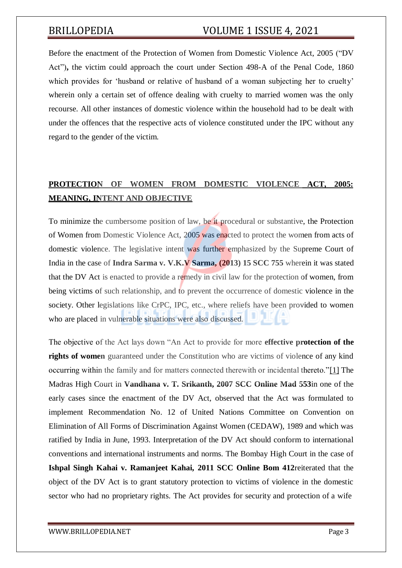Before the enactment of the [Protection of Women from Domestic Violence Act, 2005 \(](http://www.scconline.com/DocumentLink/55d5s4bW)"DV Act")**,** the victim could approach the court under [Section 498-A of the Penal Code, 1860](http://www.scconline.com/DocumentLink/bAf79H8r) which provides for 'husband or relative of husband of a woman subjecting her to cruelty' wherein only a certain set of offence dealing with cruelty to married women was the only recourse. All other instances of domestic violence within the household had to be dealt with under the offences that the respective acts of violence constituted under the IPC without any regard to the gender of the victim.

# **PROTECTION OF WOMEN FROM DOMESTIC VIOLENCE ACT, 2005: MEANING, INTENT AND OBJECTIVE**

To minimize the cumbersome position of law, be it procedural or substantive, the Protection of Women from Domestic Violence Act, 2005 was enacted to protect the women from acts of domestic violence. The legislative intent was further emphasized by the Supreme Court of India in the case of **Indra Sarma v. V.K.V Sarma, [\(2013\) 15 SCC 755](http://www.scconline.com/DocumentLink/kzeAig4U)** wherein it was stated that the DV Act is enacted to provide a remedy in civil law for the protection of women, from being victims of such relationship, and to prevent the occurrence of domestic violence in the society. Other legislations like CrPC, IPC, etc., where reliefs have been provided to women who are placed in vulnerable situations were also discussed*.*

The objective of the Act lays down "An Act to provide for more **effective protection of the rights of women** guaranteed under the Constitution who are victims of violence of any kind occurring within the family and for matters connected therewith or incidental thereto.["\[1\]](https://www.scconline.com/blog/post/2020/07/27/law-on-domestic-violence-protection-of-women-from-domestic-violence-act-2005/#_ftn1) The Madras High Court in **Vandhana v. T. Srikanth, [2007 SCC Online Mad 553](http://www.scconline.com/DocumentLink/T3ms8J98)**in one of the early cases since the enactment of the DV Act, observed that the Act was formulated to implement Recommendation No. 12 of United Nations Committee on Convention on Elimination of All Forms of Discrimination Against Women (CEDAW), 1989 and which was ratified by India in June, 1993. Interpretation of the DV Act should conform to international conventions and international instruments and norms. The Bombay High Court in the case of **Ishpal Singh Kahai v. Ramanjeet Kahai, [2011 SCC Online Bom 412](http://www.scconline.com/DocumentLink/JBV4oTt3)**reiterated that the object of the DV Act is to grant statutory protection to victims of violence in the domestic sector who had no proprietary rights. The Act provides for security and protection of a wife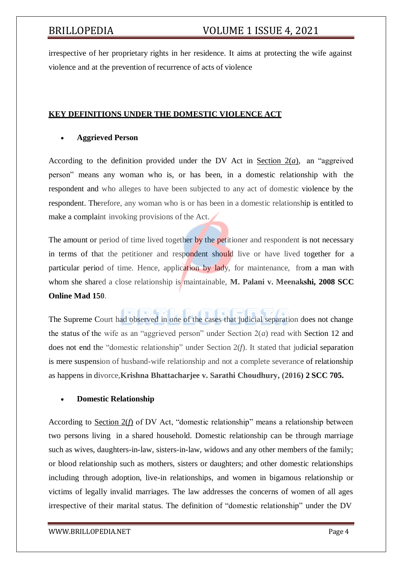irrespective of her proprietary rights in her residence. It aims at protecting the wife against violence and at the prevention of recurrence of acts of violence

### **KEY DEFINITIONS UNDER THE DOMESTIC VIOLENCE ACT**

### **Aggrieved Person**

According to the definition provided under the DV Act in [Section 2\(](http://www.scconline.com/DocumentLink/j6jxAHQ2)*a*), an "aggreived person" means any woman who is, or has been, in a domestic relationship with the respondent and who alleges to have been subjected to any act of domestic violence by the respondent. Therefore, any woman who is or has been in a domestic relationship is entitled to make a complaint invoking provisions of the Act.

The amount or period of time lived together by the petitioner and respondent is not necessary in terms of that the petitioner and respondent should live or have lived together for a particular period of time. Hence, application by lady, for maintenance, from a man with whom she shared a close relationship is maintainable, **M. Palani v. Meenakshi, [2008 SCC](http://www.scconline.com/DocumentLink/JBV4oTt3) [Online](http://www.scconline.com/DocumentLink/JBV4oTt3) Mad 150**.

The Supreme Court had observed in one of the cases that judicial separation does not change the status of the wife as an "aggrieved person" under Section 2(*a*) read with Section 12 and does not end the "domestic relationship" under Section 2(*f*). It stated that judicial separation is mere suspension of husband-wife relationship and not a complete severance of relationship as happens in divorce,**Krishna Bhattacharjee v. Sarathi Choudhury, [\(2016\)](http://www.scconline.com/DocumentLink/nf595nAO) 2 SCC 705.**

### **Domestic Relationship**

According to [Section 2\(](http://www.scconline.com/DocumentLink/j6jxAHQ2)*f*) of DV Act, "domestic relationship" means a relationship between two persons living in a shared household. Domestic relationship can be through marriage such as wives, daughters-in-law, sisters-in-law, widows and any other members of the family; or blood relationship such as mothers, sisters or daughters; and other domestic relationships including through adoption, live-in relationships, and women in bigamous relationship or victims of legally invalid marriages. The law addresses the concerns of women of all ages irrespective of their marital status. The definition of "domestic relationship" under the DV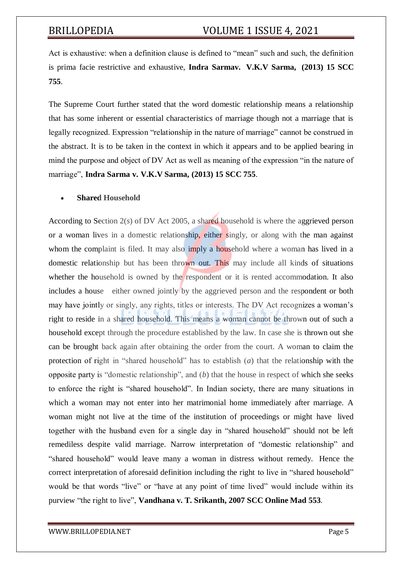Act is exhaustive: when a definition clause is defined to "mean" such and such, the definition is prima facie restrictive and exhaustive, **Indra Sarmav. V.K.V Sarma, [\(2013\) 15 SCC](http://www.scconline.com/DocumentLink/kzeAig4U) [755](http://www.scconline.com/DocumentLink/kzeAig4U)**.

The Supreme Court further stated that the word domestic relationship means a relationship that has some inherent or essential characteristics of marriage though not a marriage that is legally recognized. Expression "relationship in the nature of marriage" cannot be construed in the abstract. It is to be taken in the context in which it appears and to be applied bearing in mind the purpose and object of DV Act as well as meaning of the expression "in the nature of marriage", **Indra Sarma v. V.K.V Sarma, [\(2013\)](http://www.scconline.com/DocumentLink/kzeAig4U) 15 SCC 755**.

### **Shared Household**

According to [Section 2\(](http://www.scconline.com/DocumentLink/j6jxAHQ2)*s*) of DV Act 2005, a shared household is where the aggrieved person or a woman lives in a domestic relationship, either singly, or along with the man against whom the complaint is filed. It may also imply a household where a woman has lived in a domestic relationship but has been thrown out. This may include all kinds of situations whether the household is owned by the respondent or it is rented accommodation. It also includes a house either owned jointly by the aggrieved person and the respondent or both may have jointly or singly, any rights, titles or interests. The DV Act recognizes a woman's right to reside in a shared household. This means a woman cannot be thrown out of such a household except through the procedure established by the law. In case she is thrown out she can be brought back again after obtaining the order from the court. A woman to claim the protection of right in "shared household" has to establish (*a*) that the relationship with the opposite party is "domestic relationship", and (*b*) that the house in respect of which she seeks to enforce the right is "shared household". In Indian society, there are many situations in which a woman may not enter into her matrimonial home immediately after marriage. A woman might not live at the time of the institution of proceedings or might have lived together with the husband even for a single day in "shared household" should not be left remediless despite valid marriage. Narrow interpretation of "domestic relationship" and "shared household" would leave many a woman in distress without remedy. Hence the correct interpretation of aforesaid definition including the right to live in "shared household" would be that words "live" or "have at any point of time lived" would include within its purview "the right to live", **Vandhana v. T. Srikanth, 2007 SCC [Online](http://www.scconline.com/DocumentLink/T3ms8J98) Mad 553**.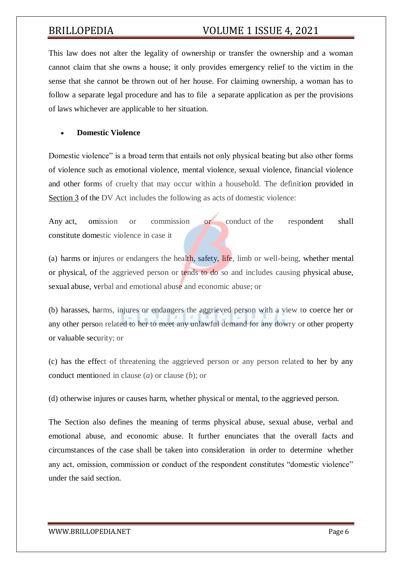This law does not alter the legality of ownership or transfer the ownership and a woman cannot claim that she owns a house; it only provides emergency relief to the victim in the sense that she cannot be thrown out of her house. For claiming ownership, a woman has to follow a separate legal procedure and has to file a separate application as per the provisions of laws whichever are applicable to her situation.

### **Domestic Violence**

Domestic violence" is a broad term that entails not only physical beating but also other forms of violence such as emotional violence, mental violence, sexual violence, financial violence and other forms of cruelty that may occur within a household. The definition provided in [Section](http://www.scconline.com/DocumentLink/Fx556Dnn) 3 of the DV Act includes the following as acts of domestic violence:

Any act, omission or commission or conduct of the respondent shall constitute domestic violence in case it

(a) harms or injures or endangers the health, safety, life, limb or well-being, whether mental or physical, of the aggrieved person or tends to do so and includes causing physical abuse, sexual abuse, verbal and emotional abuse and economic abuse; or

(b) harasses, harms, injures or endangers the aggrieved person with a view to coerce her or any other person related to her to meet any unlawful demand for any dowry or other property or valuable security; or

(c) has the effect of threatening the aggrieved person or any person related to her by any conduct mentioned in clause (*a*) or clause (*b*); or

(d) otherwise injures or causes harm, whether physical or mental, to the aggrieved person.

The Section also defines the meaning of terms physical abuse, sexual abuse, verbal and emotional abuse, and economic abuse. It further enunciates that the overall facts and circumstances of the case shall be taken into consideration in order to determine whether any act, omission, commission or conduct of the respondent constitutes "domestic violence" under the said section.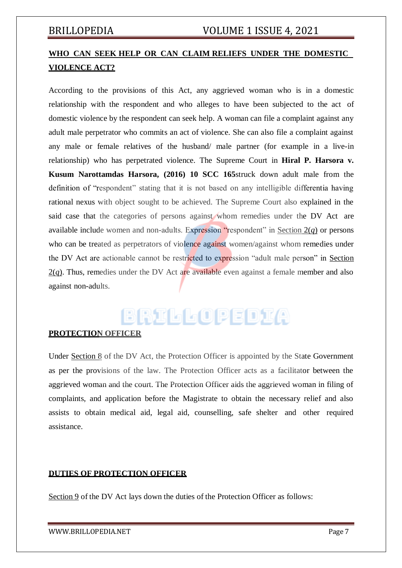# **WHO CAN SEEK HELP OR CAN CLAIM RELIEFS UNDER THE DOMESTIC VIOLENCE ACT?**

According to the provisions of this Act, any aggrieved woman who is in a domestic relationship with the respondent and who alleges to have been subjected to the act of domestic violence by the respondent can seek help. A woman can file a complaint against any adult male perpetrator who commits an act of violence. She can also file a complaint against any male or female relatives of the husband/ male partner (for example in a live-in relationship) who has perpetrated violence. The Supreme Court in **Hiral P. Harsora v. Kusum Narottamdas Harsora, [\(2016\)](http://www.scconline.com/DocumentLink/lL0M2ORj) 10 SCC 165**struck down adult male from the definition of "respondent" stating that it is not based on any intelligible differentia having rational nexus with object sought to be achieved. The Supreme Court also explained in the said case that the categories of persons against whom remedies under the DV Act are available include women and non-adults. Expression "respondent" in Section  $2(q)$  or persons who can be treated as perpetrators of violence against women/against whom remedies under the DV Act are actionable cannot be restricted to expression "adult male person" in [Section](http://www.scconline.com/DocumentLink/j6jxAHQ2)  $2(q)$  $2(q)$ . Thus, remedies under the DV Act are available even against a female member and also against non-adults.

# BRILLOPEDIA

### **PROTECTION OFFICER**

Under [Section 8](http://www.scconline.com/DocumentLink/ok69q6kw) of the DV Act, the Protection Officer is appointed by the State Government as per the provisions of the law. The Protection Officer acts as a facilitator between the aggrieved woman and the court. The Protection Officer aids the aggrieved woman in filing of complaints, and application before the Magistrate to obtain the necessary relief and also assists to obtain medical aid, legal aid, counselling, safe shelter and other required assistance.

### **DUTIES OF PROTECTION OFFICER**

[Section](http://www.scconline.com/DocumentLink/Kj0d8UAo) 9 of the DV Act lays down the duties of the Protection Officer as follows: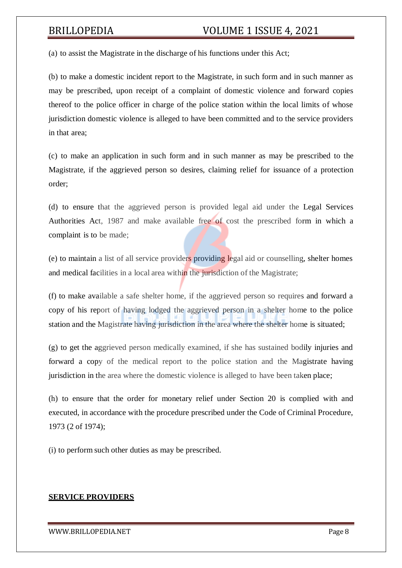(a) to assist the Magistrate in the discharge of his functions under this Act;

(b) to make a domestic incident report to the Magistrate, in such form and in such manner as may be prescribed, upon receipt of a complaint of domestic violence and forward copies thereof to the police officer in charge of the police station within the local limits of whose jurisdiction domestic violence is alleged to have been committed and to the service providers in that area;

(c) to make an application in such form and in such manner as may be prescribed to the Magistrate, if the aggrieved person so desires, claiming relief for issuance of a protection order;

(d) to ensure that the aggrieved person is provided legal aid under the Legal Services Authorities Act, 1987 and make available free of cost the prescribed form in which a complaint is to be made;

(e) to maintain a list of all service providers providing legal aid or counselling, shelter homes and medical facilities in a local area within the jurisdiction of the Magistrate;

(f) to make available a safe shelter home, if the aggrieved person so requires and forward a copy of his report of having lodged the aggrieved person in a shelter home to the police station and the Magistrate having jurisdiction in the area where the shelter home is situated;

(g) to get the aggrieved person medically examined, if she has sustained bodily injuries and forward a copy of the medical report to the police station and the Magistrate having jurisdiction in the area where the domestic violence is alleged to have been taken place;

(h) to ensure that the order for monetary relief under Section 20 is complied with and executed, in accordance with the procedure prescribed under the Code of Criminal Procedure, 1973 (2 of 1974);

(i) to perform such other duties as may be prescribed.

### **SERVICE PROVIDERS**

### [WWW.BRILLOPEDIA.NET](http://www.brillopedia.net/)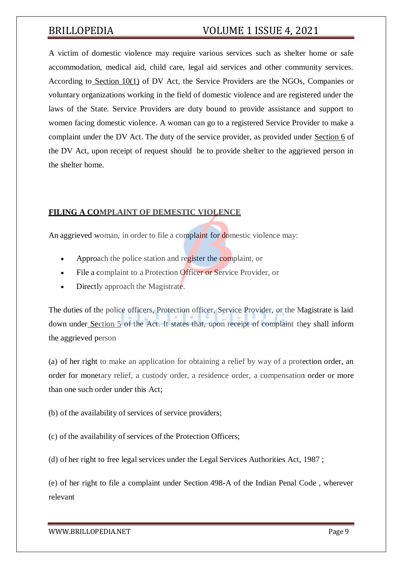A victim of domestic violence may require various services such as shelter home or safe accommodation, medical aid, child care, legal aid services and other community services. According to [Section 10\(1\)](http://www.scconline.com/DocumentLink/3fTZDM4A) of DV Act, the Service Providers are the NGOs, Companies or voluntary organizations working in the field of domestic violence and are registered under the laws of the State. Service Providers are duty bound to provide assistance and support to women facing domestic violence. A woman can go to a registered Service Provider to make a complaint under the DV Act. The duty of the service provider, as provided under [Section 6](http://www.scconline.com/DocumentLink/JKK0u1lh) of the DV Act, upon receipt of request should be to provide shelter to the aggrieved person in the shelter home.

### **FILING A COMPLAINT OF DEMESTIC VIOLENCE**

An aggrieved woman, in order to file a complaint for domestic violence may:

- Approach the police station and register the complaint, or
- File a complaint to a Protection Officer or Service Provider, or
- Directly approach the Magistrate.

The duties of the police officers, Protection officer, Service Provider, or the Magistrate is laid down under [Section](http://www.scconline.com/DocumentLink/mx3YbDeR) 5 of the Act. It states that, upon receipt of complaint they shall inform the aggrieved person

(a) of her right to make an application for obtaining a relief by way of a protection order, an order for monetary relief, a custody order, a residence order, a compensation order or more than one such order under this Act;

- (b) of the availability of services of service providers;
- (c) of the availability of services of the Protection Officers;

(d) of her right to free legal services under the Legal Services Authorities Act, 1987 ;

(e) of her right to file a complaint under Section 498-A of the Indian Penal Code , wherever relevant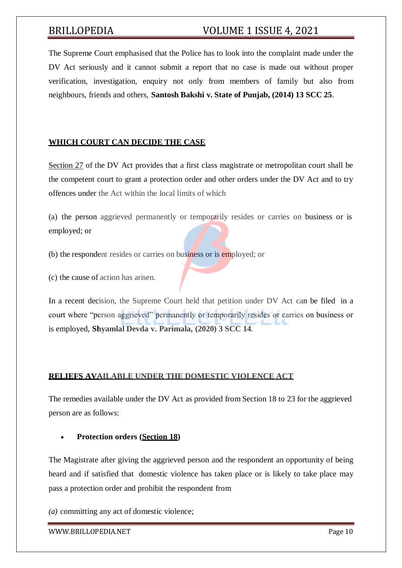The Supreme Court emphasised that the Police has to look into the complaint made under the DV Act seriously and it cannot submit a report that no case is made out without proper verification, investigation, enquiry not only from members of family but also from neighbours, friends and others, **Santosh Bakshi v. State of Punjab, (2014) [13 SCC](http://www.scconline.com/DocumentLink/0y0QA64N) 25**.

### **WHICH COURT CAN DECIDE THE CASE**

[Section 27](http://www.scconline.com/DocumentLink/082P47t6) of the DV Act provides that a first class magistrate or metropolitan court shall be the competent court to grant a protection order and other orders under the DV Act and to try offences under the Act within the local limits of which

(a) the person aggrieved permanently or temporarily resides or carries on business or is employed; or

(b) the respondent resides or carries on business or is employed; or

(c) the cause of action has arisen.

In a recent decision, the Supreme Court held that petition under DV Act can be filed in a court where "person aggrieved" permanently or temporarily resides or carries on business or is employed, **Shyamlal Devda v. Parimala, (2020) 3 [SCC 14](http://www.scconline.com/DocumentLink/33I0E3n7)**.

### **RELIEFS AVAILABLE UNDER THE DOMESTIC VIOLENCE ACT**

The remedies available under the DV Act as provided from Section 18 to 23 for the aggrieved person are as follows:

**Protection orders [\(Section 18\)](http://www.scconline.com/DocumentLink/E1HJ5cOG)**

The Magistrate after giving the aggrieved person and the respondent an opportunity of being heard and if satisfied that domestic violence has taken place or is likely to take place may pass a protection order and prohibit the respondent from

*(a)* committing any act of domestic violence;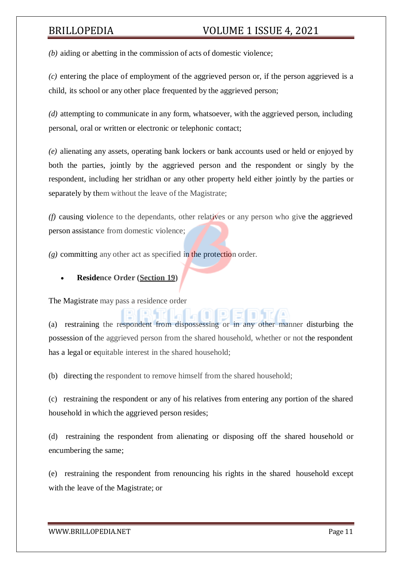*(b)* aiding or abetting in the commission of acts of domestic violence;

*(c)* entering the place of employment of the aggrieved person or, if the person aggrieved is a child, its school or any other place frequented by the aggrieved person;

*(d)* attempting to communicate in any form, whatsoever, with the aggrieved person, including personal, oral or written or electronic or telephonic contact;

*(e)* alienating any assets, operating bank lockers or bank accounts used or held or enjoyed by both the parties, jointly by the aggrieved person and the respondent or singly by the respondent, including her stridhan or any other property held either jointly by the parties or separately by them without the leave of the Magistrate;

*(f)* causing violence to the dependants, other relatives or any person who give the aggrieved person assistance from domestic violence;

*(g)* committing any other act as specified in the protection order.

### **Residence Order [\(Section](http://www.scconline.com/DocumentLink/ut8qplZv) 19)**

The Magistrate may pass a residence order

(a) restraining the respondent from dispossessing or in any other manner disturbing the possession of the aggrieved person from the shared household, whether or not the respondent has a legal or equitable interest in the shared household;

(b) directing the respondent to remove himself from the shared household;

(c) restraining the respondent or any of his relatives from entering any portion of the shared household in which the aggrieved person resides;

(d) restraining the respondent from alienating or disposing off the shared household or encumbering the same;

(e) restraining the respondent from renouncing his rights in the shared household except with the leave of the Magistrate; or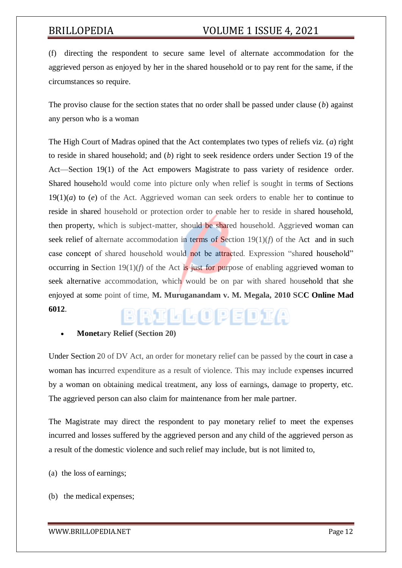(f) directing the respondent to secure same level of alternate accommodation for the aggrieved person as enjoyed by her in the shared household or to pay rent for the same, if the circumstances so require.

The proviso clause for the section states that no order shall be passed under clause (*b*) against any person who is a woman

The High Court of Madras opined that the Act contemplates two types of reliefs viz. (*a*) right to reside in shared household; and (*b*) right to seek residence orders under Section 19 of the Act—Section 19(1) of the Act empowers Magistrate to pass variety of residence order. Shared household would come into picture only when relief is sought in terms of Sections 19(1)(*a*) to (*e*) of the Act. Aggrieved woman can seek orders to enable her to continue to reside in shared household or protection order to enable her to reside in shared household, then property, which is subject-matter, should be shared household. Aggrieved woman can seek relief of alternate accommodation in terms of Section  $19(1)(f)$  of the Act and in such case concept of shared household would not be attracted. Expression "shared household" occurring in Section 19(1)(*f*) of the Act is just for purpose of enabling aggrieved woman to seek alternative accommodation, which would be on par with shared household that she enjoyed at some point of time, **M. Muruganandam v. M. Megala, [2010 SCC Online Mad](http://www.scconline.com/DocumentLink/8TCRpz9F) [6012](http://www.scconline.com/DocumentLink/8TCRpz9F)**. BRILLOPEDIA

### **Monetary Relief [\(Section](http://www.scconline.com/DocumentLink/pKs82T6E) 20)**

Under Section 20 of DV Act, an order for monetary relief can be passed by the court in case a woman has incurred expenditure as a result of violence. This may include expenses incurred by a woman on obtaining medical treatment, any loss of earnings, damage to property, etc. The aggrieved person can also claim for maintenance from her male partner.

The Magistrate may direct the respondent to pay monetary relief to meet the expenses incurred and losses suffered by the aggrieved person and any child of the aggrieved person as a result of the domestic violence and such relief may include, but is not limited to,

(a) the loss of earnings;

(b) the medical expenses;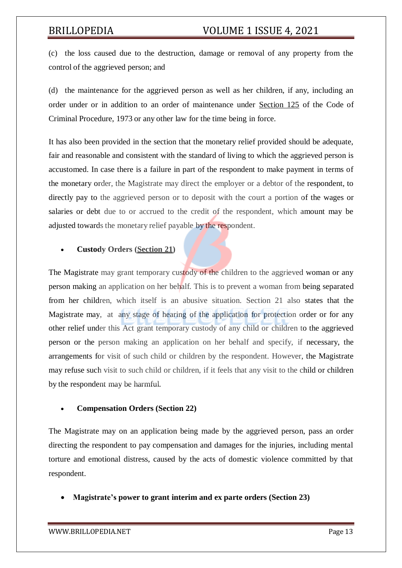(c) the loss caused due to the destruction, damage or removal of any property from the control of the aggrieved person; and

(d) the maintenance for the aggrieved person as well as her children, if any, including an order under or in addition to an order of maintenance under [Section 125](http://www.scconline.com/DocumentLink/TGeyaIg2) of the Code of Criminal Procedure, 1973 or any other law for the time being in force.

It has also been provided in the section that the monetary relief provided should be adequate, fair and reasonable and consistent with the standard of living to which the aggrieved person is accustomed. In case there is a failure in part of the respondent to make payment in terms of the monetary order, the Magistrate may direct the employer or a debtor of the respondent, to directly pay to the aggrieved person or to deposit with the court a portion of the wages or salaries or debt due to or accrued to the credit of the respondent, which amount may be adjusted towards the monetary relief payable by the respondent.

### **Custody Orders [\(Section](http://www.scconline.com/DocumentLink/YYIY4e9c) 21)**

The Magistrate may grant temporary custody of the children to the aggrieved woman or any person making an application on her behalf. This is to prevent a woman from being separated from her children, which itself is an abusive situation. Section 21 also states that the Magistrate may, at any stage of hearing of the application for protection order or for any other relief under this Act grant temporary custody of any child or children to the aggrieved person or the person making an application on her behalf and specify, if necessary, the arrangements for visit of such child or children by the respondent. However, the Magistrate may refuse such visit to such child or children, if it feels that any visit to the child or children by the respondent may be harmful.

### **Compensation Orders [\(Section 22\)](http://www.scconline.com/DocumentLink/48N4KKnA)**

The Magistrate may on an application being made by the aggrieved person, pass an order directing the respondent to pay compensation and damages for the injuries, including mental torture and emotional distress, caused by the acts of domestic violence committed by that respondent.

**Magistrate's power to grant interim and ex parte orders [\(Section](http://www.scconline.com/DocumentLink/wfX599D2) 23)**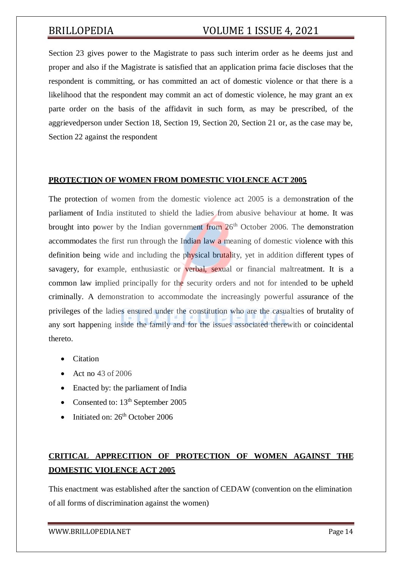[Section 23](http://www.scconline.com/DocumentLink/wfX599D2) gives power to the Magistrate to pass such interim order as he deems just and proper and also if the Magistrate is satisfied that an application prima facie discloses that the respondent is committing, or has committed an act of domestic violence or that there is a likelihood that the respondent may commit an act of domestic violence, he may grant an ex parte order on the basis of the affidavit in such form, as may be prescribed, of the aggrievedperson under Section 18, Section 19, Section 20, Section 21 or, as the case may be, Section 22 against the respondent

### **PROTECTION OF WOMEN FROM DOMESTIC VIOLENCE ACT 2005**

The protection of women from the domestic violence act 2005 is a demonstration of the parliament of India instituted to shield the ladies from abusive behaviour at home. It was brought into power by the Indian government from  $26<sup>th</sup>$  October 2006. The demonstration accommodates the first run through the Indian law a meaning of domestic violence with this definition being wide and including the physical brutality, yet in addition different types of savagery, for example, enthusiastic or verbal, sexual or financial maltreatment. It is a common law implied principally for the security orders and not for intended to be upheld criminally. A demonstration to accommodate the increasingly powerful assurance of the privileges of the ladies ensured under the constitution who are the casualties of brutality of any sort happening inside the family and for the issues associated therewith or coincidental thereto.

- Citation
- $\bullet$  Act no 43 of 2006
- Enacted by: the parliament of India
- Consented to:  $13<sup>th</sup>$  September 2005
- $\bullet$  Initiated on: 26<sup>th</sup> October 2006

# **CRITICAL APPRECITION OF PROTECTION OF WOMEN AGAINST THE DOMESTIC VIOLENCE ACT 2005**

This enactment was established after the sanction of CEDAW (convention on the elimination of all forms of discrimination against the women)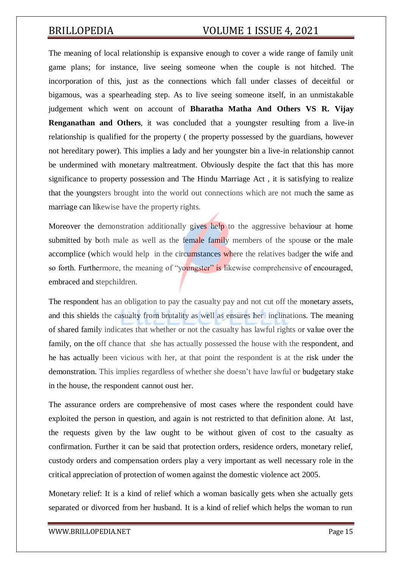The meaning of local relationship is expansive enough to cover a wide range of family unit game plans; for instance, live seeing someone when the couple is not hitched. The incorporation of this, just as the connections which fall under classes of deceitful or bigamous, was a spearheading step. As to live seeing someone itself, in an unmistakable judgement which went on account of **Bharatha Matha And Others VS R. Vijay Renganathan and Others**, it was concluded that a youngster resulting from a live-in relationship is qualified for the property ( the property possessed by the guardians, however not hereditary power). This implies a lady and her youngster bin a live-in relationship cannot be undermined with monetary maltreatment. Obviously despite the fact that this has more significance to property possession and The Hindu Marriage Act , it is satisfying to realize that the youngsters brought into the world out connections which are not much the same as marriage can likewise have the property rights.

Moreover the demonstration additionally gives help to the aggressive behaviour at home submitted by both male as well as the female family members of the spouse or the male accomplice (which would help in the circumstances where the relatives badger the wife and so forth. Furthermore, the meaning of "youngster" is likewise comprehensive of encouraged, embraced and stepchildren.

The respondent has an obligation to pay the casualty pay and not cut off the monetary assets, and this shields the casualty from brutality as well as ensures her inclinations. The meaning of shared family indicates that whether or not the casualty has lawful rights or value over the family, on the off chance that she has actually possessed the house with the respondent, and he has actually been vicious with her, at that point the respondent is at the risk under the demonstration. This implies regardless of whether she doesn't have lawful or budgetary stake in the house, the respondent cannot oust her.

The assurance orders are comprehensive of most cases where the respondent could have exploited the person in question, and again is not restricted to that definition alone. At last, the requests given by the law ought to be without given of cost to the casualty as confirmation. Further it can be said that protection orders, residence orders, monetary relief, custody orders and compensation orders play a very important as well necessary role in the critical appreciation of protection of women against the domestic violence act 2005.

Monetary relief: It is a kind of relief which a woman basically gets when she actually gets separated or divorced from her husband. It is a kind of relief which helps the woman to run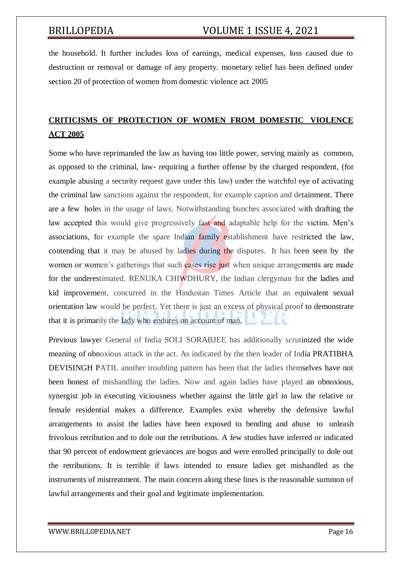the household. It further includes loss of earnings, medical expenses, loss caused due to destruction or removal or damage of any property. monetary relief has been defined under section 20 of protection of women from domestic violence act 2005

# **CRITICISMS OF PROTECTION OF WOMEN FROM DOMESTIC VIOLENCE ACT 2005**

Some who have reprimanded the law as having too little power, serving mainly as common, as opposed to the criminal, law- requiring a further offense by the charged respondent, (for example abusing a security request gave under this law) under the watchful eye of activating the criminal law sanctions against the respondent, for example caption and detainment. There are a few holes in the usage of laws. Notwithstanding bunches associated with drafting the law accepted this would give progressively fast and adaptable help for the victim. Men's associations, for example the spare Indian family establishment have restricted the law, contending that it may be abused by ladies during the disputes. It has been seen by the women or women's gatherings that such cases rise just when unique arrangements are made for the underestimated. RENUKA CHIWDHURY, the Indian clergyman for the ladies and kid improvement, concurred in the Hindustan Times Article that an equivalent sexual orientation law would be perfect. Yet there is just an excess of physical proof to demonstrate that it is primarily the lady who endures on account of man.

Previous lawyer General of India SOLI SORABJEE has additionally scrutinized the wide meaning of obnoxious attack in the act. As indicated by the then leader of India PRATIBHA DEVISINGH PATIL another troubling pattern has been that the ladies themselves have not been honest of mishandling the ladies. Now and again ladies have played an obnoxious, synergist job in executing viciousness whether against the little girl in law the relative or female residential makes a difference. Examples exist whereby the defensive lawful arrangements to assist the ladies have been exposed to bending and abuse to unleash frivolous retribution and to dole out the retributions. A few studies have inferred or indicated that 90 percent of endowment grievances are bogus and were enrolled principally to dole out the retributions. It is terrible if laws intended to ensure ladies get mishandled as the instruments of mistreatment. The main concern along these lines is the reasonable summon of lawful arrangements and their goal and legitimate implementation.